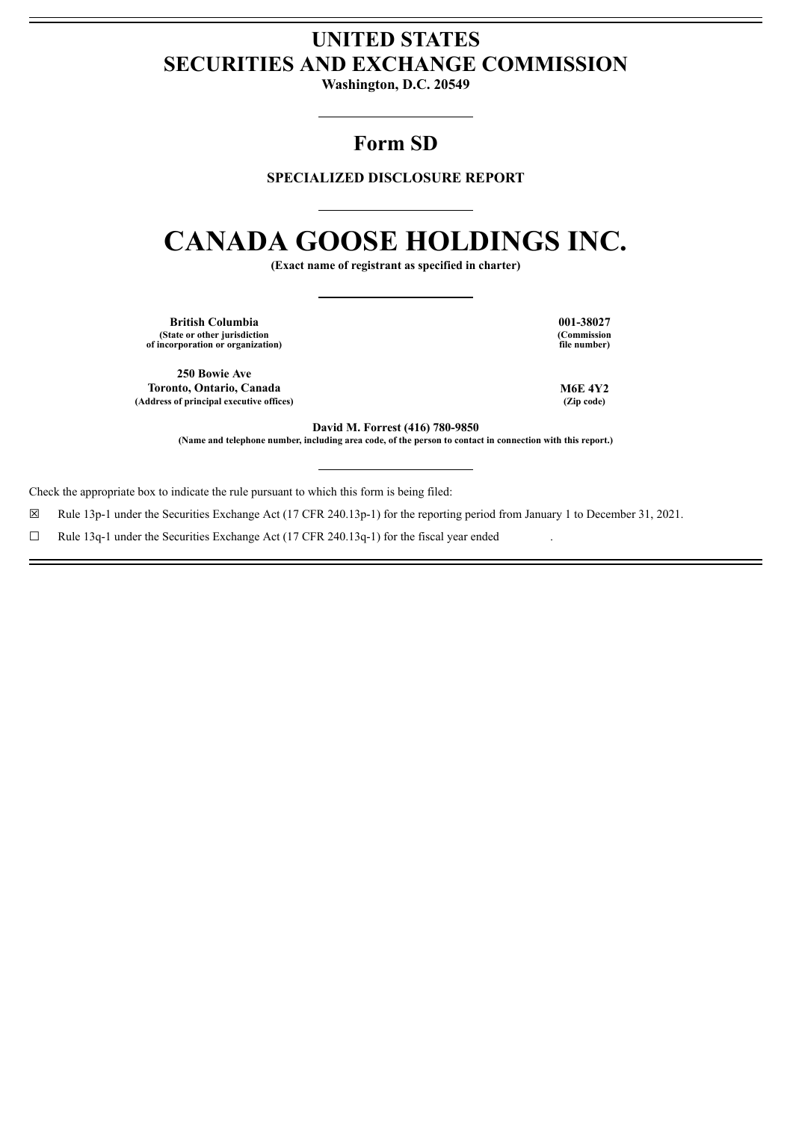# **UNITED STATES SECURITIES AND EXCHANGE COMMISSION**

**Washington, D.C. 20549**

# **Form SD**

# **SPECIALIZED DISCLOSURE REPORT**

# **CANADA GOOSE HOLDINGS INC.**

**(Exact name of registrant as specified in charter)**

**British Columbia 001-38027 (State or other jurisdiction of incorporation or organization)**

**250 Bowie Ave Toronto, Ontario, Canada M6E 4Y2 (Address of principal executive offices) (Zip code)**

**(Commission file number)**

**David M. Forrest (416) 780-9850**

(Name and telephone number, including area code, of the person to contact in connection with this report.)

Check the appropriate box to indicate the rule pursuant to which this form is being filed:

☒ Rule 13p-1 under the Securities Exchange Act (17 CFR 240.13p-1) for the reporting period from January 1 to December 31, 2021.

 $\Box$  Rule 13q-1 under the Securities Exchange Act (17 CFR 240.13q-1) for the fiscal year ended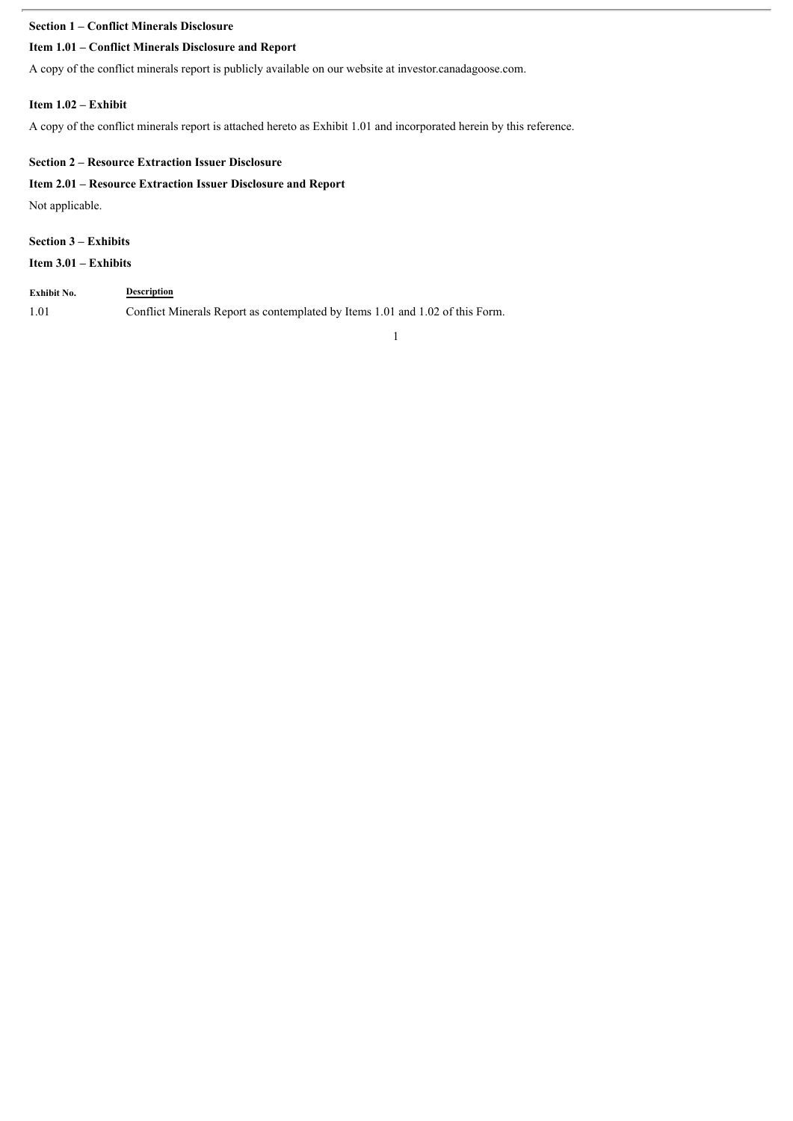# **Section 1 – Conflict Minerals Disclosure**

# **Item 1.01 – Conflict Minerals Disclosure and Report**

A copy of the conflict minerals report is publicly available on our website at investor.canadagoose.com.

### **Item 1.02 – Exhibit**

A copy of the conflict minerals report is attached hereto as Exhibit 1.01 and incorporated herein by this reference.

## **Section 2 – Resource Extraction Issuer Disclosure**

# **Item 2.01 – Resource Extraction Issuer Disclosure and Report**

Not applicable.

# **Section 3 – Exhibits**

**Item 3.01 – Exhibits**

| Exhibit No. | <b>Description</b>                                                            |
|-------------|-------------------------------------------------------------------------------|
| 1.01        | Conflict Minerals Report as contemplated by Items 1.01 and 1.02 of this Form. |

1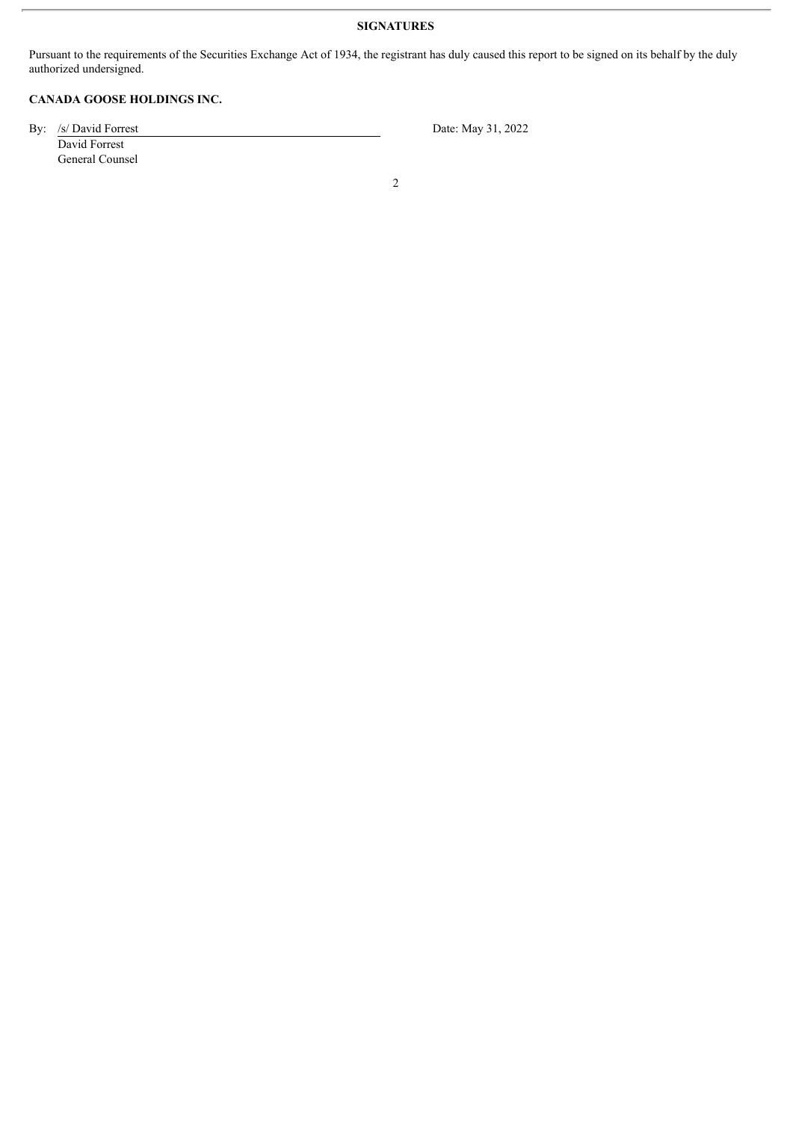# **SIGNATURES**

Pursuant to the requirements of the Securities Exchange Act of 1934, the registrant has duly caused this report to be signed on its behalf by the duly authorized undersigned.

# **CANADA GOOSE HOLDINGS INC.**

By: /s/ David Forrest Date: May 31, 2022 David Forrest General Counsel

2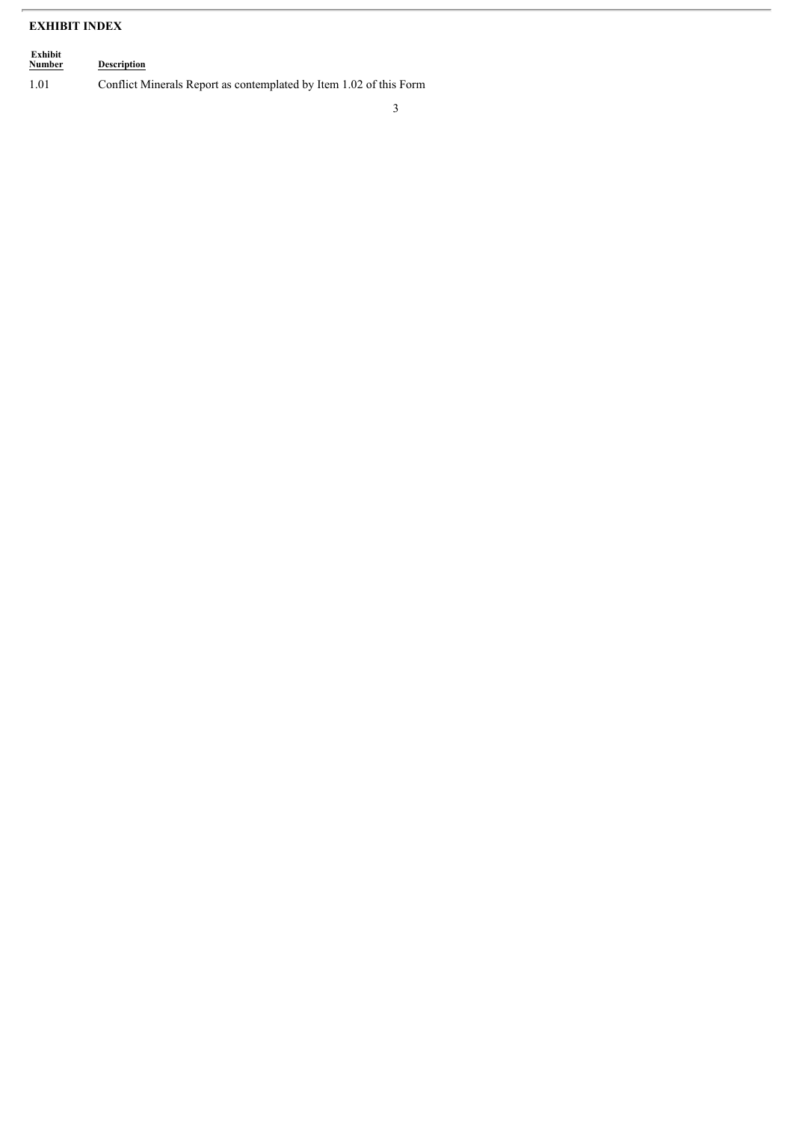# **EXHIBIT INDEX**

| Exhibit<br><b>Number</b> | <b>Description</b>                                                 |
|--------------------------|--------------------------------------------------------------------|
| 1.01                     | Conflict Minerals Report as contemplated by Item 1.02 of this Form |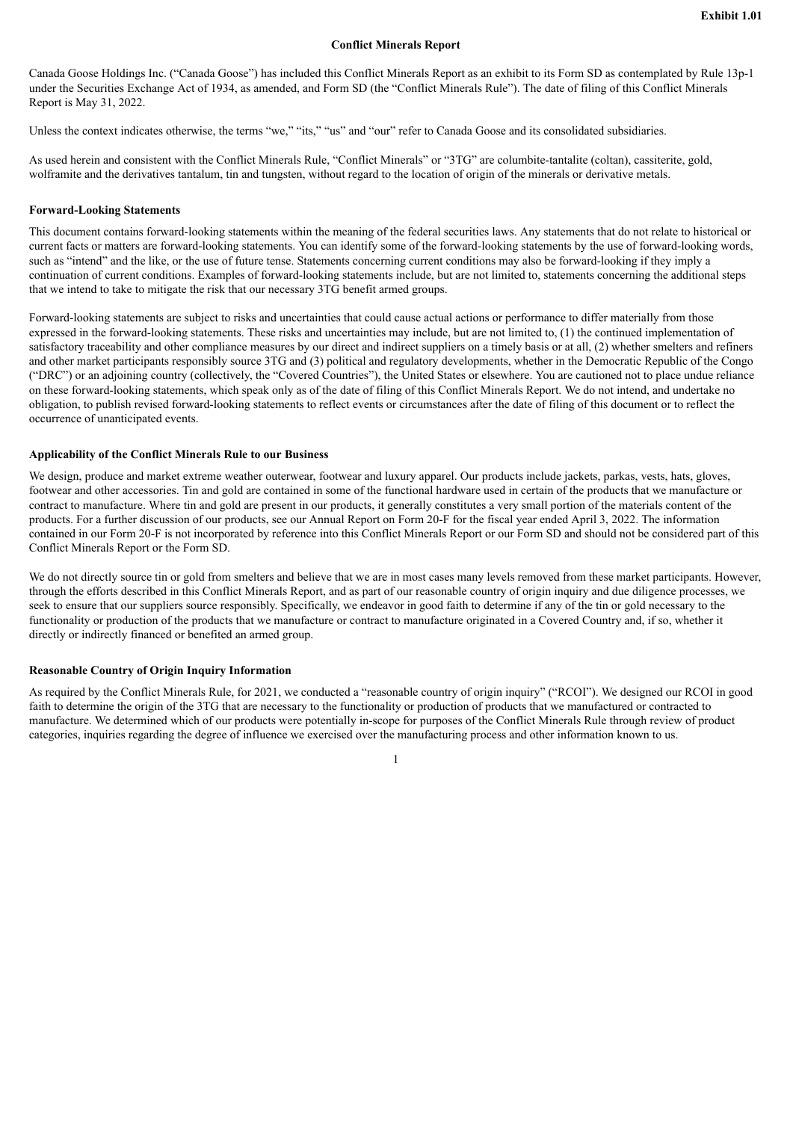#### **Conflict Minerals Report**

Canada Goose Holdings Inc. ("Canada Goose") has included this Conflict Minerals Report as an exhibit to its Form SD as contemplated by Rule 13p-1 under the Securities Exchange Act of 1934, as amended, and Form SD (the "Conflict Minerals Rule"). The date of filing of this Conflict Minerals Report is May 31, 2022.

Unless the context indicates otherwise, the terms "we," "its," "us" and "our" refer to Canada Goose and its consolidated subsidiaries.

As used herein and consistent with the Conflict Minerals Rule, "Conflict Minerals" or "3TG" are columbite-tantalite (coltan), cassiterite, gold, wolframite and the derivatives tantalum, tin and tungsten, without regard to the location of origin of the minerals or derivative metals.

#### **Forward-Looking Statements**

This document contains forward-looking statements within the meaning of the federal securities laws. Any statements that do not relate to historical or current facts or matters are forward-looking statements. You can identify some of the forward-looking statements by the use of forward-looking words, such as "intend" and the like, or the use of future tense. Statements concerning current conditions may also be forward-looking if they imply a continuation of current conditions. Examples of forward-looking statements include, but are not limited to, statements concerning the additional steps that we intend to take to mitigate the risk that our necessary 3TG benefit armed groups.

Forward-looking statements are subject to risks and uncertainties that could cause actual actions or performance to differ materially from those expressed in the forward-looking statements. These risks and uncertainties may include, but are not limited to, (1) the continued implementation of satisfactory traceability and other compliance measures by our direct and indirect suppliers on a timely basis or at all, (2) whether smelters and refiners and other market participants responsibly source 3TG and (3) political and regulatory developments, whether in the Democratic Republic of the Congo ("DRC") or an adjoining country (collectively, the "Covered Countries"), the United States or elsewhere. You are cautioned not to place undue reliance on these forward-looking statements, which speak only as of the date of filing of this Conflict Minerals Report. We do not intend, and undertake no obligation, to publish revised forward-looking statements to reflect events or circumstances after the date of filing of this document or to reflect the occurrence of unanticipated events.

#### **Applicability of the Conflict Minerals Rule to our Business**

We design, produce and market extreme weather outerwear, footwear and luxury apparel. Our products include jackets, parkas, vests, hats, gloves, footwear and other accessories. Tin and gold are contained in some of the functional hardware used in certain of the products that we manufacture or contract to manufacture. Where tin and gold are present in our products, it generally constitutes a very small portion of the materials content of the products. For a further discussion of our products, see our Annual Report on Form 20-F for the fiscal year ended April 3, 2022. The information contained in our Form 20-F is not incorporated by reference into this Conflict Minerals Report or our Form SD and should not be considered part of this Conflict Minerals Report or the Form SD.

We do not directly source tin or gold from smelters and believe that we are in most cases many levels removed from these market participants. However, through the efforts described in this Conflict Minerals Report, and as part of our reasonable country of origin inquiry and due diligence processes, we seek to ensure that our suppliers source responsibly. Specifically, we endeavor in good faith to determine if any of the tin or gold necessary to the functionality or production of the products that we manufacture or contract to manufacture originated in a Covered Country and, if so, whether it directly or indirectly financed or benefited an armed group.

#### **Reasonable Country of Origin Inquiry Information**

As required by the Conflict Minerals Rule, for 2021, we conducted a "reasonable country of origin inquiry" ("RCOI"). We designed our RCOI in good faith to determine the origin of the 3TG that are necessary to the functionality or production of products that we manufactured or contracted to manufacture. We determined which of our products were potentially in-scope for purposes of the Conflict Minerals Rule through review of product categories, inquiries regarding the degree of influence we exercised over the manufacturing process and other information known to us.

1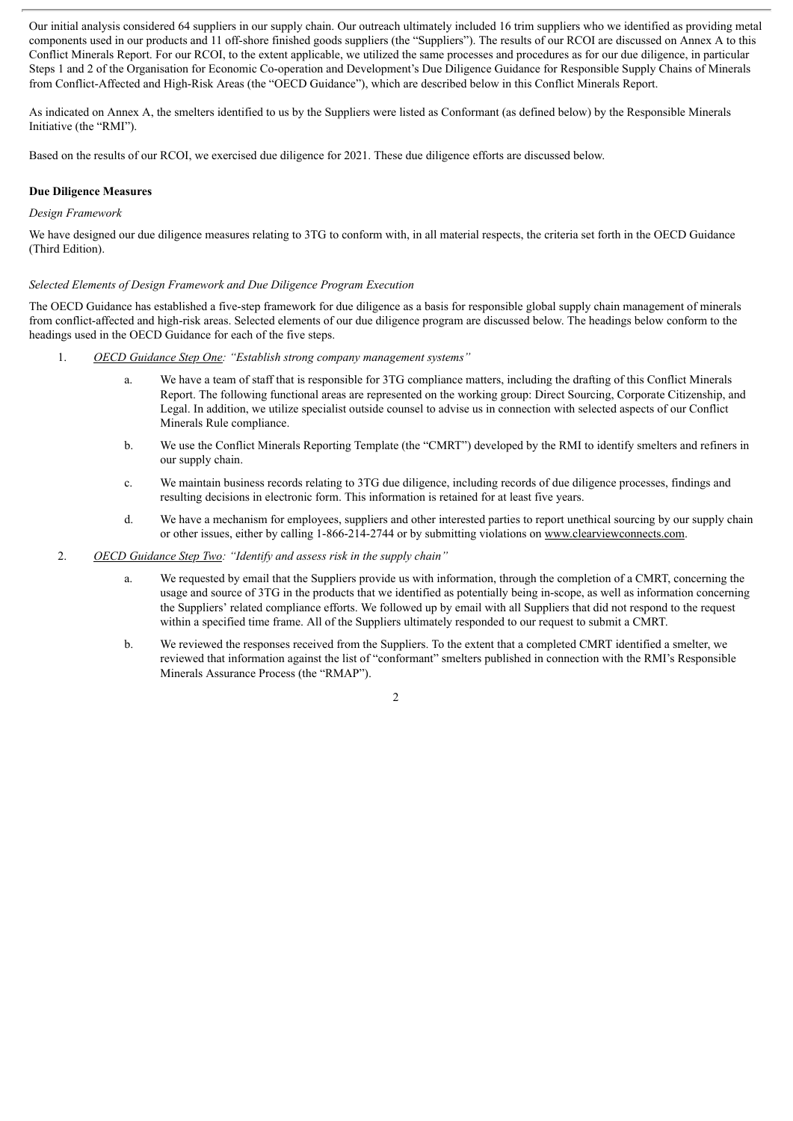Our initial analysis considered 64 suppliers in our supply chain. Our outreach ultimately included 16 trim suppliers who we identified as providing metal components used in our products and 11 off-shore finished goods suppliers (the "Suppliers"). The results of our RCOI are discussed on Annex A to this Conflict Minerals Report. For our RCOI, to the extent applicable, we utilized the same processes and procedures as for our due diligence, in particular Steps 1 and 2 of the Organisation for Economic Co-operation and Development's Due Diligence Guidance for Responsible Supply Chains of Minerals from Conflict-Affected and High-Risk Areas (the "OECD Guidance"), which are described below in this Conflict Minerals Report.

As indicated on Annex A, the smelters identified to us by the Suppliers were listed as Conformant (as defined below) by the Responsible Minerals Initiative (the "RMI").

Based on the results of our RCOI, we exercised due diligence for 2021. These due diligence efforts are discussed below.

#### **Due Diligence Measures**

#### *Design Framework*

We have designed our due diligence measures relating to 3TG to conform with, in all material respects, the criteria set forth in the OECD Guidance (Third Edition).

#### *Selected Elements of Design Framework and Due Diligence Program Execution*

The OECD Guidance has established a five-step framework for due diligence as a basis for responsible global supply chain management of minerals from conflict-affected and high-risk areas. Selected elements of our due diligence program are discussed below. The headings below conform to the headings used in the OECD Guidance for each of the five steps.

- 1. *OECD Guidance Step One: "Establish strong company management systems"*
	- a. We have a team of staff that is responsible for 3TG compliance matters, including the drafting of this Conflict Minerals Report. The following functional areas are represented on the working group: Direct Sourcing, Corporate Citizenship, and Legal. In addition, we utilize specialist outside counsel to advise us in connection with selected aspects of our Conflict Minerals Rule compliance.
	- b. We use the Conflict Minerals Reporting Template (the "CMRT") developed by the RMI to identify smelters and refiners in our supply chain.
	- c. We maintain business records relating to 3TG due diligence, including records of due diligence processes, findings and resulting decisions in electronic form. This information is retained for at least five years.
	- d. We have a mechanism for employees, suppliers and other interested parties to report unethical sourcing by our supply chain or other issues, either by calling 1-866-214-2744 or by submitting violations on www.clearviewconnects.com.
- 2. *OECD Guidance Step Two: "Identify and assess risk in the supply chain"*
	- a. We requested by email that the Suppliers provide us with information, through the completion of a CMRT, concerning the usage and source of 3TG in the products that we identified as potentially being in-scope, as well as information concerning the Suppliers' related compliance efforts. We followed up by email with all Suppliers that did not respond to the request within a specified time frame. All of the Suppliers ultimately responded to our request to submit a CMRT.
	- b. We reviewed the responses received from the Suppliers. To the extent that a completed CMRT identified a smelter, we reviewed that information against the list of "conformant" smelters published in connection with the RMI's Responsible Minerals Assurance Process (the "RMAP").
		- 2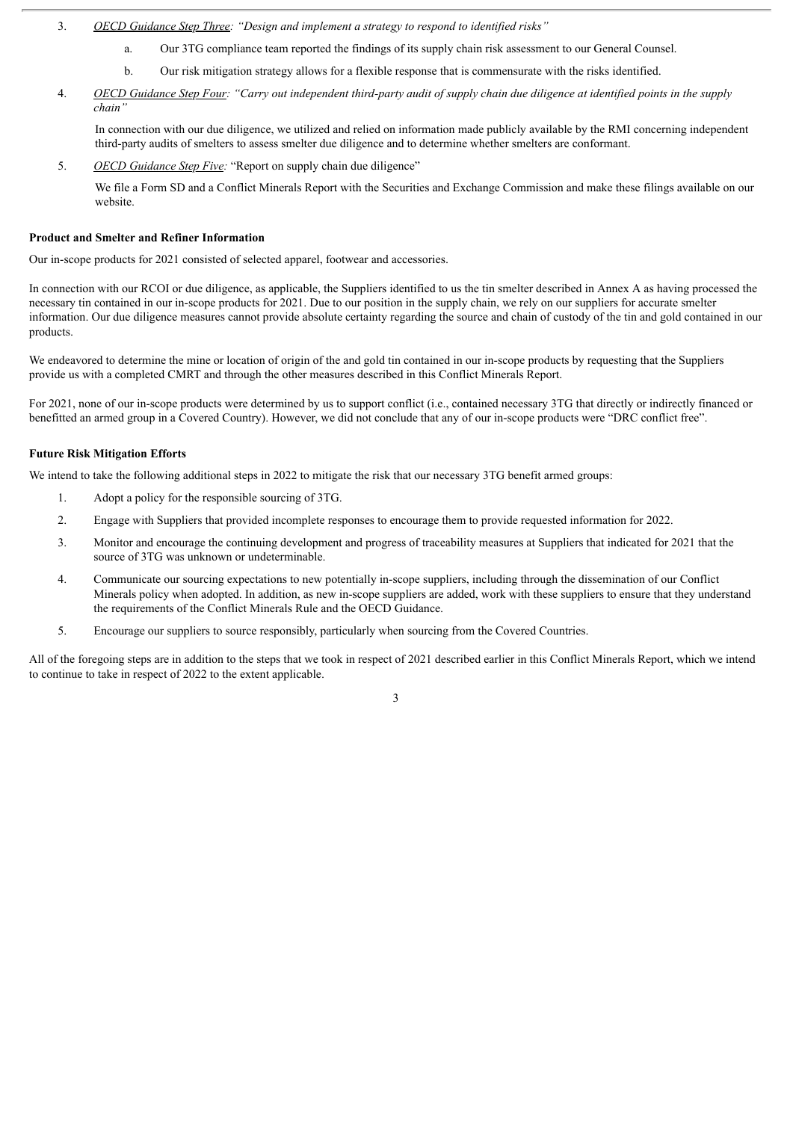- 3. *OECD Guidance Step Three: "Design and implement a strategy to respond to identified risks"*
	- a. Our 3TG compliance team reported the findings of its supply chain risk assessment to our General Counsel.
	- b. Our risk mitigation strategy allows for a flexible response that is commensurate with the risks identified.
- 4. OECD Guidance Step Four: "Carry out independent third-party audit of supply chain due diligence at identified points in the supply *chain"*

In connection with our due diligence, we utilized and relied on information made publicly available by the RMI concerning independent third-party audits of smelters to assess smelter due diligence and to determine whether smelters are conformant.

5. *OECD Guidance Step Five:* "Report on supply chain due diligence"

We file a Form SD and a Conflict Minerals Report with the Securities and Exchange Commission and make these filings available on our website.

#### **Product and Smelter and Refiner Information**

Our in-scope products for 2021 consisted of selected apparel, footwear and accessories.

In connection with our RCOI or due diligence, as applicable, the Suppliers identified to us the tin smelter described in Annex A as having processed the necessary tin contained in our in-scope products for 2021. Due to our position in the supply chain, we rely on our suppliers for accurate smelter information. Our due diligence measures cannot provide absolute certainty regarding the source and chain of custody of the tin and gold contained in our products.

We endeavored to determine the mine or location of origin of the and gold tin contained in our in-scope products by requesting that the Suppliers provide us with a completed CMRT and through the other measures described in this Conflict Minerals Report.

For 2021, none of our in-scope products were determined by us to support conflict (i.e., contained necessary 3TG that directly or indirectly financed or benefitted an armed group in a Covered Country). However, we did not conclude that any of our in-scope products were "DRC conflict free".

#### **Future Risk Mitigation Efforts**

We intend to take the following additional steps in 2022 to mitigate the risk that our necessary 3TG benefit armed groups:

- 1. Adopt a policy for the responsible sourcing of 3TG.
- 2. Engage with Suppliers that provided incomplete responses to encourage them to provide requested information for 2022.
- 3. Monitor and encourage the continuing development and progress of traceability measures at Suppliers that indicated for 2021 that the source of 3TG was unknown or undeterminable.
- 4. Communicate our sourcing expectations to new potentially in-scope suppliers, including through the dissemination of our Conflict Minerals policy when adopted. In addition, as new in-scope suppliers are added, work with these suppliers to ensure that they understand the requirements of the Conflict Minerals Rule and the OECD Guidance.
- 5. Encourage our suppliers to source responsibly, particularly when sourcing from the Covered Countries.

All of the foregoing steps are in addition to the steps that we took in respect of 2021 described earlier in this Conflict Minerals Report, which we intend to continue to take in respect of 2022 to the extent applicable.